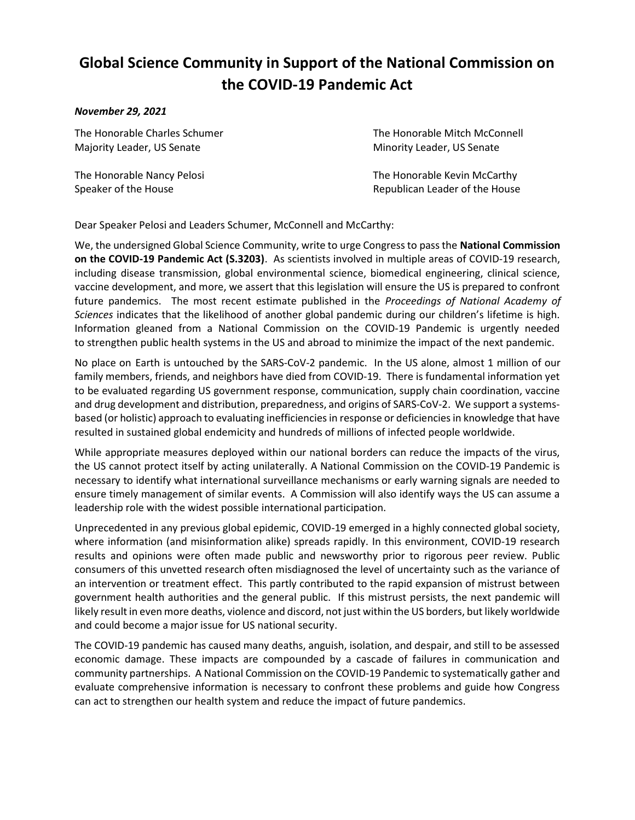## Global Science Community in Support of the National Commission on the COVID-19 Pandemic Act

## November 29, 2021

Majority Leader, US Senate **Minority Leader, US Senate** Minority Leader, US Senate

The Honorable Charles Schumer The Honorable Mitch McConnell

The Honorable Nancy Pelosi **The Honorable Kevin McCarthy** Speaker of the House **Republican Leader of the House** Republican Leader of the House

Dear Speaker Pelosi and Leaders Schumer, McConnell and McCarthy:

We, the undersigned Global Science Community, write to urge Congress to pass the **National Commission** on the COVID-19 Pandemic Act (S.3203). As scientists involved in multiple areas of COVID-19 research, including disease transmission, global environmental science, biomedical engineering, clinical science, vaccine development, and more, we assert that this legislation will ensure the US is prepared to confront future pandemics. The most recent estimate published in the Proceedings of National Academy of Sciences indicates that the likelihood of another global pandemic during our children's lifetime is high. Information gleaned from a National Commission on the COVID-19 Pandemic is urgently needed to strengthen public health systems in the US and abroad to minimize the impact of the next pandemic.

No place on Earth is untouched by the SARS-CoV-2 pandemic. In the US alone, almost 1 million of our family members, friends, and neighbors have died from COVID-19. There is fundamental information yet to be evaluated regarding US government response, communication, supply chain coordination, vaccine and drug development and distribution, preparedness, and origins of SARS-CoV-2. We support a systemsbased (or holistic) approach to evaluating inefficiencies in response or deficiencies in knowledge that have resulted in sustained global endemicity and hundreds of millions of infected people worldwide.

While appropriate measures deployed within our national borders can reduce the impacts of the virus, the US cannot protect itself by acting unilaterally. A National Commission on the COVID-19 Pandemic is necessary to identify what international surveillance mechanisms or early warning signals are needed to ensure timely management of similar events. A Commission will also identify ways the US can assume a leadership role with the widest possible international participation.

Unprecedented in any previous global epidemic, COVID-19 emerged in a highly connected global society, where information (and misinformation alike) spreads rapidly. In this environment, COVID-19 research results and opinions were often made public and newsworthy prior to rigorous peer review. Public consumers of this unvetted research often misdiagnosed the level of uncertainty such as the variance of an intervention or treatment effect. This partly contributed to the rapid expansion of mistrust between government health authorities and the general public. If this mistrust persists, the next pandemic will likely result in even more deaths, violence and discord, not just within the US borders, but likely worldwide and could become a major issue for US national security.

The COVID-19 pandemic has caused many deaths, anguish, isolation, and despair, and still to be assessed economic damage. These impacts are compounded by a cascade of failures in communication and community partnerships. A National Commission on the COVID-19 Pandemic to systematically gather and evaluate comprehensive information is necessary to confront these problems and guide how Congress can act to strengthen our health system and reduce the impact of future pandemics.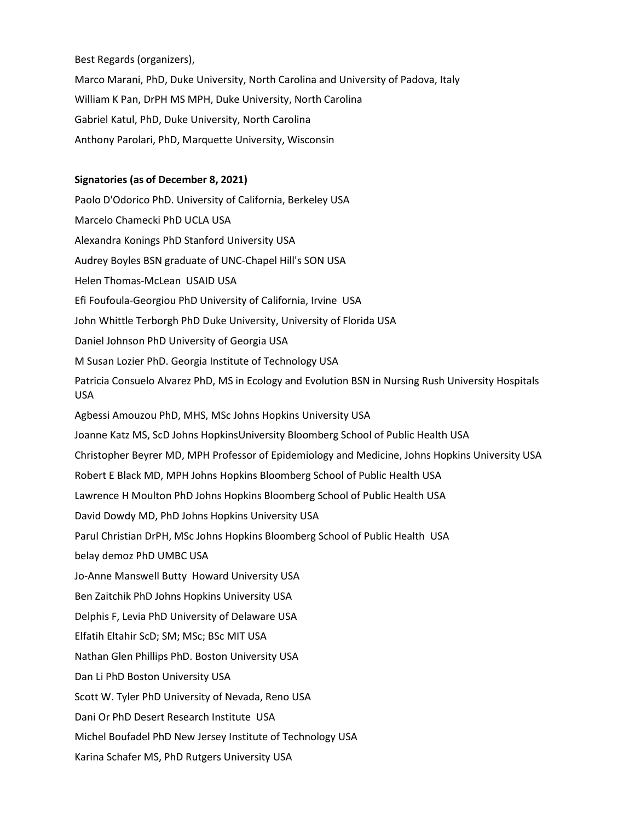Best Regards (organizers),

Marco Marani, PhD, Duke University, North Carolina and University of Padova, Italy William K Pan, DrPH MS MPH, Duke University, North Carolina Gabriel Katul, PhD, Duke University, North Carolina Anthony Parolari, PhD, Marquette University, Wisconsin

## Signatories (as of December 8, 2021)

Paolo D'Odorico PhD. University of California, Berkeley USA Marcelo Chamecki PhD UCLA USA Alexandra Konings PhD Stanford University USA Audrey Boyles BSN graduate of UNC-Chapel Hill's SON USA Helen Thomas-McLean USAID USA Efi Foufoula-Georgiou PhD University of California, Irvine USA John Whittle Terborgh PhD Duke University, University of Florida USA Daniel Johnson PhD University of Georgia USA M Susan Lozier PhD. Georgia Institute of Technology USA Patricia Consuelo Alvarez PhD, MS in Ecology and Evolution BSN in Nursing Rush University Hospitals USA Agbessi Amouzou PhD, MHS, MSc Johns Hopkins University USA Joanne Katz MS, ScD Johns HopkinsUniversity Bloomberg School of Public Health USA Christopher Beyrer MD, MPH Professor of Epidemiology and Medicine, Johns Hopkins University USA Robert E Black MD, MPH Johns Hopkins Bloomberg School of Public Health USA Lawrence H Moulton PhD Johns Hopkins Bloomberg School of Public Health USA David Dowdy MD, PhD Johns Hopkins University USA Parul Christian DrPH, MSc Johns Hopkins Bloomberg School of Public Health USA belay demoz PhD UMBC USA Jo-Anne Manswell Butty Howard University USA Ben Zaitchik PhD Johns Hopkins University USA Delphis F, Levia PhD University of Delaware USA Elfatih Eltahir ScD; SM; MSc; BSc MIT USA Nathan Glen Phillips PhD. Boston University USA Dan Li PhD Boston University USA Scott W. Tyler PhD University of Nevada, Reno USA Dani Or PhD Desert Research Institute USA Michel Boufadel PhD New Jersey Institute of Technology USA Karina Schafer MS, PhD Rutgers University USA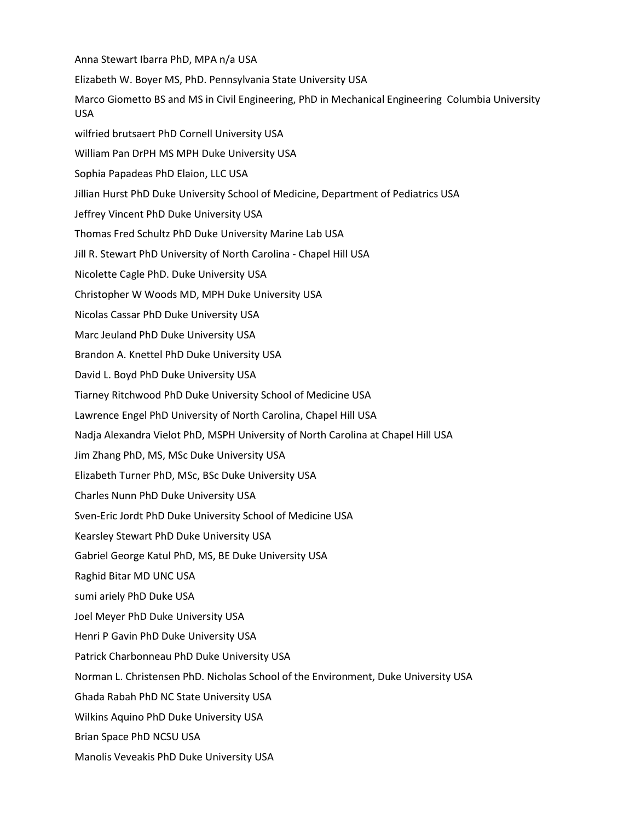Anna Stewart Ibarra PhD, MPA n/a USA Elizabeth W. Boyer MS, PhD. Pennsylvania State University USA Marco Giometto BS and MS in Civil Engineering, PhD in Mechanical Engineering Columbia University USA wilfried brutsaert PhD Cornell University USA William Pan DrPH MS MPH Duke University USA Sophia Papadeas PhD Elaion, LLC USA Jillian Hurst PhD Duke University School of Medicine, Department of Pediatrics USA Jeffrey Vincent PhD Duke University USA Thomas Fred Schultz PhD Duke University Marine Lab USA Jill R. Stewart PhD University of North Carolina - Chapel Hill USA Nicolette Cagle PhD. Duke University USA Christopher W Woods MD, MPH Duke University USA Nicolas Cassar PhD Duke University USA Marc Jeuland PhD Duke University USA Brandon A. Knettel PhD Duke University USA David L. Boyd PhD Duke University USA Tiarney Ritchwood PhD Duke University School of Medicine USA Lawrence Engel PhD University of North Carolina, Chapel Hill USA Nadja Alexandra Vielot PhD, MSPH University of North Carolina at Chapel Hill USA Jim Zhang PhD, MS, MSc Duke University USA Elizabeth Turner PhD, MSc, BSc Duke University USA Charles Nunn PhD Duke University USA Sven-Eric Jordt PhD Duke University School of Medicine USA Kearsley Stewart PhD Duke University USA Gabriel George Katul PhD, MS, BE Duke University USA Raghid Bitar MD UNC USA sumi ariely PhD Duke USA Joel Meyer PhD Duke University USA Henri P Gavin PhD Duke University USA Patrick Charbonneau PhD Duke University USA Norman L. Christensen PhD. Nicholas School of the Environment, Duke University USA Ghada Rabah PhD NC State University USA Wilkins Aquino PhD Duke University USA Brian Space PhD NCSU USA Manolis Veveakis PhD Duke University USA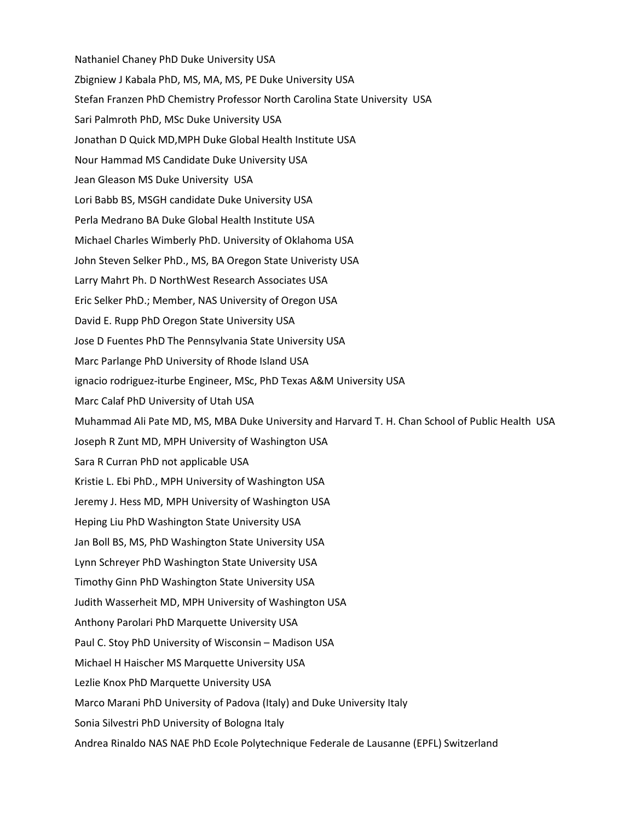Nathaniel Chaney PhD Duke University USA Zbigniew J Kabala PhD, MS, MA, MS, PE Duke University USA Stefan Franzen PhD Chemistry Professor North Carolina State University USA Sari Palmroth PhD, MSc Duke University USA Jonathan D Quick MD,MPH Duke Global Health Institute USA Nour Hammad MS Candidate Duke University USA Jean Gleason MS Duke University USA Lori Babb BS, MSGH candidate Duke University USA Perla Medrano BA Duke Global Health Institute USA Michael Charles Wimberly PhD. University of Oklahoma USA John Steven Selker PhD., MS, BA Oregon State Univeristy USA Larry Mahrt Ph. D NorthWest Research Associates USA Eric Selker PhD.; Member, NAS University of Oregon USA David E. Rupp PhD Oregon State University USA Jose D Fuentes PhD The Pennsylvania State University USA Marc Parlange PhD University of Rhode Island USA ignacio rodriguez-iturbe Engineer, MSc, PhD Texas A&M University USA Marc Calaf PhD University of Utah USA Muhammad Ali Pate MD, MS, MBA Duke University and Harvard T. H. Chan School of Public Health USA Joseph R Zunt MD, MPH University of Washington USA Sara R Curran PhD not applicable USA Kristie L. Ebi PhD., MPH University of Washington USA Jeremy J. Hess MD, MPH University of Washington USA Heping Liu PhD Washington State University USA Jan Boll BS, MS, PhD Washington State University USA Lynn Schreyer PhD Washington State University USA Timothy Ginn PhD Washington State University USA Judith Wasserheit MD, MPH University of Washington USA Anthony Parolari PhD Marquette University USA Paul C. Stoy PhD University of Wisconsin – Madison USA Michael H Haischer MS Marquette University USA Lezlie Knox PhD Marquette University USA Marco Marani PhD University of Padova (Italy) and Duke University Italy Sonia Silvestri PhD University of Bologna Italy Andrea Rinaldo NAS NAE PhD Ecole Polytechnique Federale de Lausanne (EPFL) Switzerland